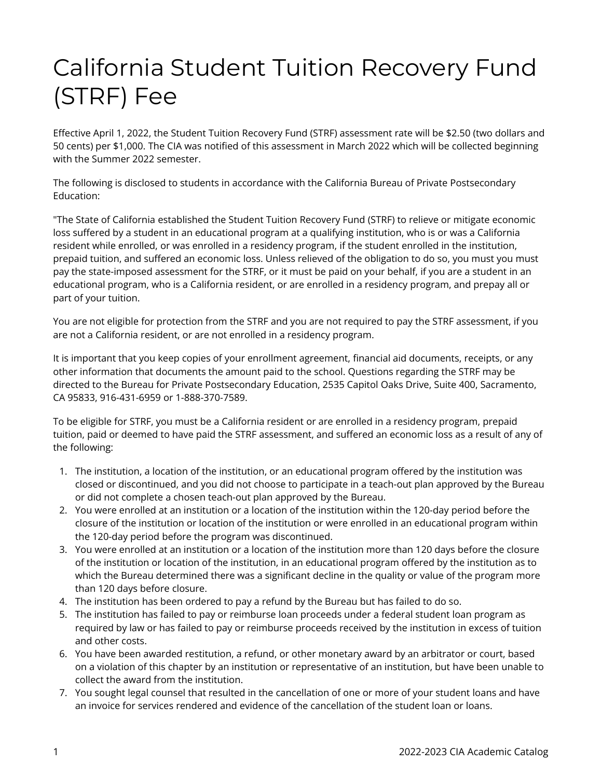## California Student Tuition Recovery Fund (STRF) Fee

Effective April 1, 2022, the Student Tuition Recovery Fund (STRF) assessment rate will be \$2.50 (two dollars and 50 cents) per \$1,000. The CIA was notified of this assessment in March 2022 which will be collected beginning with the Summer 2022 semester.

The following is disclosed to students in accordance with the California Bureau of Private Postsecondary Education:

"The State of California established the Student Tuition Recovery Fund (STRF) to relieve or mitigate economic loss suffered by a student in an educational program at a qualifying institution, who is or was a California resident while enrolled, or was enrolled in a residency program, if the student enrolled in the institution, prepaid tuition, and suffered an economic loss. Unless relieved of the obligation to do so, you must you must pay the state-imposed assessment for the STRF, or it must be paid on your behalf, if you are a student in an educational program, who is a California resident, or are enrolled in a residency program, and prepay all or part of your tuition.

You are not eligible for protection from the STRF and you are not required to pay the STRF assessment, if you are not a California resident, or are not enrolled in a residency program.

It is important that you keep copies of your enrollment agreement, financial aid documents, receipts, or any other information that documents the amount paid to the school. Questions regarding the STRF may be directed to the Bureau for Private Postsecondary Education, 2535 Capitol Oaks Drive, Suite 400, Sacramento, CA 95833, 916-431-6959 or 1-888-370-7589.

To be eligible for STRF, you must be a California resident or are enrolled in a residency program, prepaid tuition, paid or deemed to have paid the STRF assessment, and suffered an economic loss as a result of any of the following:

- 1. The institution, a location of the institution, or an educational program offered by the institution was closed or discontinued, and you did not choose to participate in a teach-out plan approved by the Bureau or did not complete a chosen teach-out plan approved by the Bureau.
- 2. You were enrolled at an institution or a location of the institution within the 120-day period before the closure of the institution or location of the institution or were enrolled in an educational program within the 120-day period before the program was discontinued.
- 3. You were enrolled at an institution or a location of the institution more than 120 days before the closure of the institution or location of the institution, in an educational program offered by the institution as to which the Bureau determined there was a significant decline in the quality or value of the program more than 120 days before closure.
- 4. The institution has been ordered to pay a refund by the Bureau but has failed to do so.
- 5. The institution has failed to pay or reimburse loan proceeds under a federal student loan program as required by law or has failed to pay or reimburse proceeds received by the institution in excess of tuition and other costs.
- 6. You have been awarded restitution, a refund, or other monetary award by an arbitrator or court, based on a violation of this chapter by an institution or representative of an institution, but have been unable to collect the award from the institution.
- 7. You sought legal counsel that resulted in the cancellation of one or more of your student loans and have an invoice for services rendered and evidence of the cancellation of the student loan or loans.